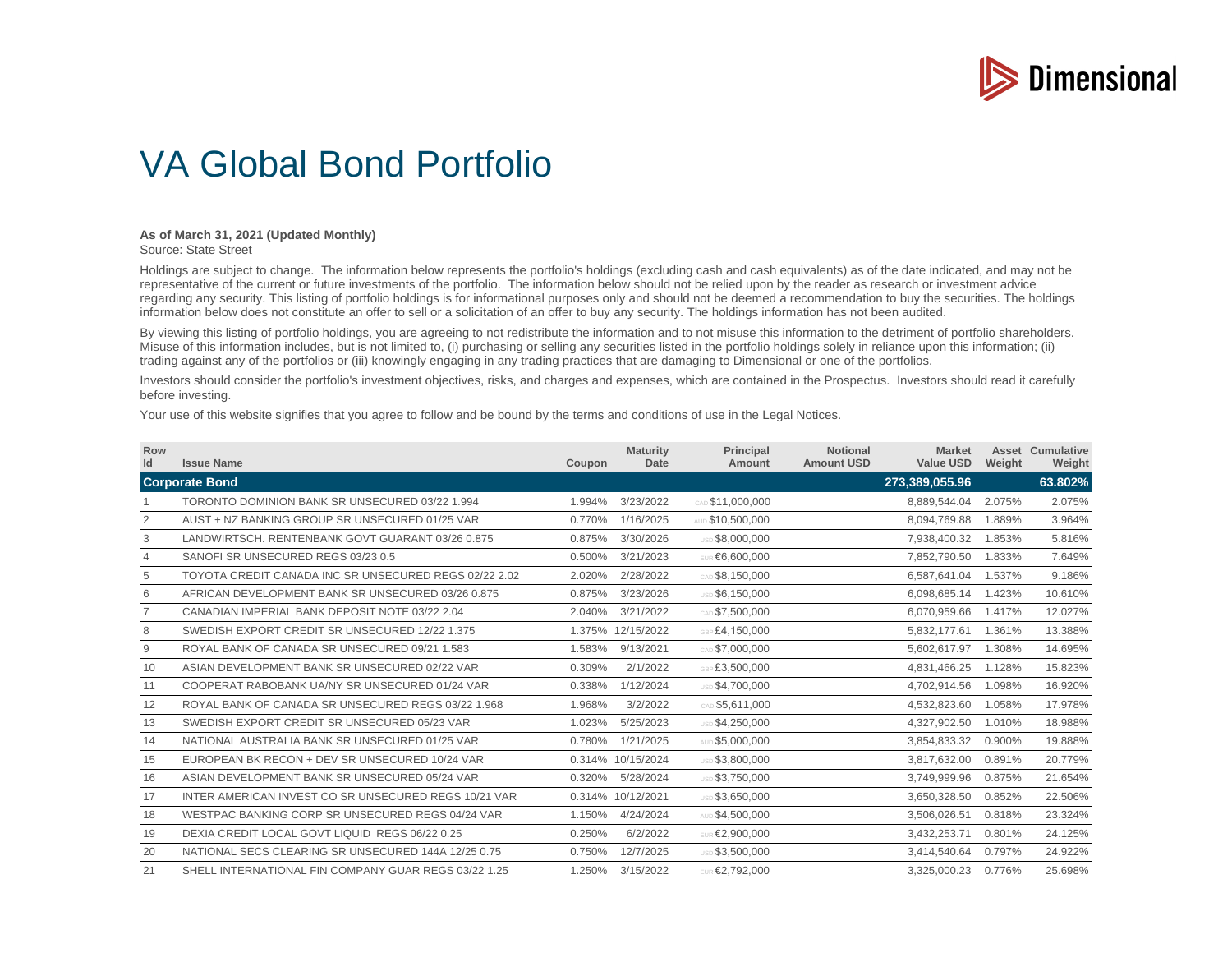

## VA Global Bond Portfolio

## **As of March 31, 2021 (Updated Monthly)**

Source: State Street

Holdings are subject to change. The information below represents the portfolio's holdings (excluding cash and cash equivalents) as of the date indicated, and may not be representative of the current or future investments of the portfolio. The information below should not be relied upon by the reader as research or investment advice regarding any security. This listing of portfolio holdings is for informational purposes only and should not be deemed a recommendation to buy the securities. The holdings information below does not constitute an offer to sell or a solicitation of an offer to buy any security. The holdings information has not been audited.

By viewing this listing of portfolio holdings, you are agreeing to not redistribute the information and to not misuse this information to the detriment of portfolio shareholders. Misuse of this information includes, but is not limited to, (i) purchasing or selling any securities listed in the portfolio holdings solely in reliance upon this information; (ii) trading against any of the portfolios or (iii) knowingly engaging in any trading practices that are damaging to Dimensional or one of the portfolios.

Investors should consider the portfolio's investment objectives, risks, and charges and expenses, which are contained in the Prospectus. Investors should read it carefully before investing.

Your use of this website signifies that you agree to follow and be bound by the terms and conditions of use in the Legal Notices.

| Row<br>Id | <b>Issue Name</b>                                     | Coupon | <b>Maturity</b><br>Date | <b>Principal</b><br>Amount | <b>Notional</b><br><b>Amount USD</b> | <b>Market</b><br><b>Value USD</b> | Weight | <b>Asset Cumulative</b><br>Weight |
|-----------|-------------------------------------------------------|--------|-------------------------|----------------------------|--------------------------------------|-----------------------------------|--------|-----------------------------------|
|           | <b>Corporate Bond</b>                                 |        |                         |                            |                                      | 273,389,055.96                    |        | 63.802%                           |
|           | TORONTO DOMINION BANK SR UNSECURED 03/22 1.994        | 1.994% | 3/23/2022               | CAD \$11,000,000           |                                      | 8,889,544.04                      | 2.075% | 2.075%                            |
| 2         | AUST + NZ BANKING GROUP SR UNSECURED 01/25 VAR        | 0.770% | 1/16/2025               | AUD \$10,500,000           |                                      | 8,094,769.88                      | 1.889% | 3.964%                            |
| 3         | LANDWIRTSCH, RENTENBANK GOVT GUARANT 03/26 0.875      | 0.875% | 3/30/2026               | USD \$8,000,000            |                                      | 7,938,400.32                      | 1.853% | 5.816%                            |
| 4         | SANOFI SR UNSECURED REGS 03/23 0.5                    | 0.500% | 3/21/2023               | EUR €6,600,000             |                                      | 7,852,790.50                      | 1.833% | 7.649%                            |
| 5         | TOYOTA CREDIT CANADA INC SR UNSECURED REGS 02/22 2.02 | 2.020% | 2/28/2022               | CAD \$8,150,000            |                                      | 6,587,641.04                      | 1.537% | 9.186%                            |
| 6         | AFRICAN DEVELOPMENT BANK SR UNSECURED 03/26 0.875     | 0.875% | 3/23/2026               | USD \$6,150,000            |                                      | 6,098,685.14                      | 1.423% | 10.610%                           |
|           | CANADIAN IMPERIAL BANK DEPOSIT NOTE 03/22 2.04        | 2.040% | 3/21/2022               | CAD \$7,500,000            |                                      | 6,070,959.66                      | 1.417% | 12.027%                           |
| 8         | SWEDISH EXPORT CREDIT SR UNSECURED 12/22 1.375        | 1.375% | 12/15/2022              | GBP £4,150,000             |                                      | 5,832,177.61                      | 1.361% | 13.388%                           |
| 9         | ROYAL BANK OF CANADA SR UNSECURED 09/21 1.583         | 1.583% | 9/13/2021               | CAD \$7,000,000            |                                      | 5,602,617.97                      | 1.308% | 14.695%                           |
| 10        | ASIAN DEVELOPMENT BANK SR UNSECURED 02/22 VAR         | 0.309% | 2/1/2022                | GBP £3.500.000             |                                      | 4,831,466.25                      | 1.128% | 15.823%                           |
| 11        | COOPERAT RABOBANK UA/NY SR UNSECURED 01/24 VAR        | 0.338% | 1/12/2024               | USD \$4,700,000            |                                      | 4,702,914.56                      | 1.098% | 16.920%                           |
| 12        | ROYAL BANK OF CANADA SR UNSECURED REGS 03/22 1.968    | 1.968% | 3/2/2022                | CAD \$5.611,000            |                                      | 4,532,823.60                      | 1.058% | 17.978%                           |
| 13        | SWEDISH EXPORT CREDIT SR UNSECURED 05/23 VAR          | 1.023% | 5/25/2023               | USD \$4,250,000            |                                      | 4,327,902.50                      | 1.010% | 18.988%                           |
| 14        | NATIONAL AUSTRALIA BANK SR UNSECURED 01/25 VAR        | 0.780% | 1/21/2025               | AUD \$5,000,000            |                                      | 3,854,833.32                      | 0.900% | 19.888%                           |
| 15        | EUROPEAN BK RECON + DEV SR UNSECURED 10/24 VAR        |        | 0.314% 10/15/2024       | USD \$3,800,000            |                                      | 3,817,632.00                      | 0.891% | 20.779%                           |
| 16        | ASIAN DEVELOPMENT BANK SR UNSECURED 05/24 VAR         | 0.320% | 5/28/2024               | USD \$3,750,000            |                                      | 3,749,999.96                      | 0.875% | 21.654%                           |
| 17        | INTER AMERICAN INVEST CO SR UNSECURED REGS 10/21 VAR  |        | 0.314% 10/12/2021       | USD \$3,650,000            |                                      | 3,650,328.50                      | 0.852% | 22.506%                           |
| 18        | WESTPAC BANKING CORP SR UNSECURED REGS 04/24 VAR      | 1.150% | 4/24/2024               | AUD \$4,500,000            |                                      | 3,506,026.51                      | 0.818% | 23.324%                           |
| 19        | DEXIA CREDIT LOCAL GOVT LIQUID REGS 06/22 0.25        | 0.250% | 6/2/2022                | EUR €2.900.000             |                                      | 3,432,253.71                      | 0.801% | 24.125%                           |
| 20        | NATIONAL SECS CLEARING SR UNSECURED 144A 12/25 0.75   | 0.750% | 12/7/2025               | USD \$3,500,000            |                                      | 3,414,540.64                      | 0.797% | 24.922%                           |
| 21        | SHELL INTERNATIONAL FIN COMPANY GUAR REGS 03/22 1.25  | 1.250% | 3/15/2022               | EUR €2,792,000             |                                      | 3,325,000.23                      | 0.776% | 25.698%                           |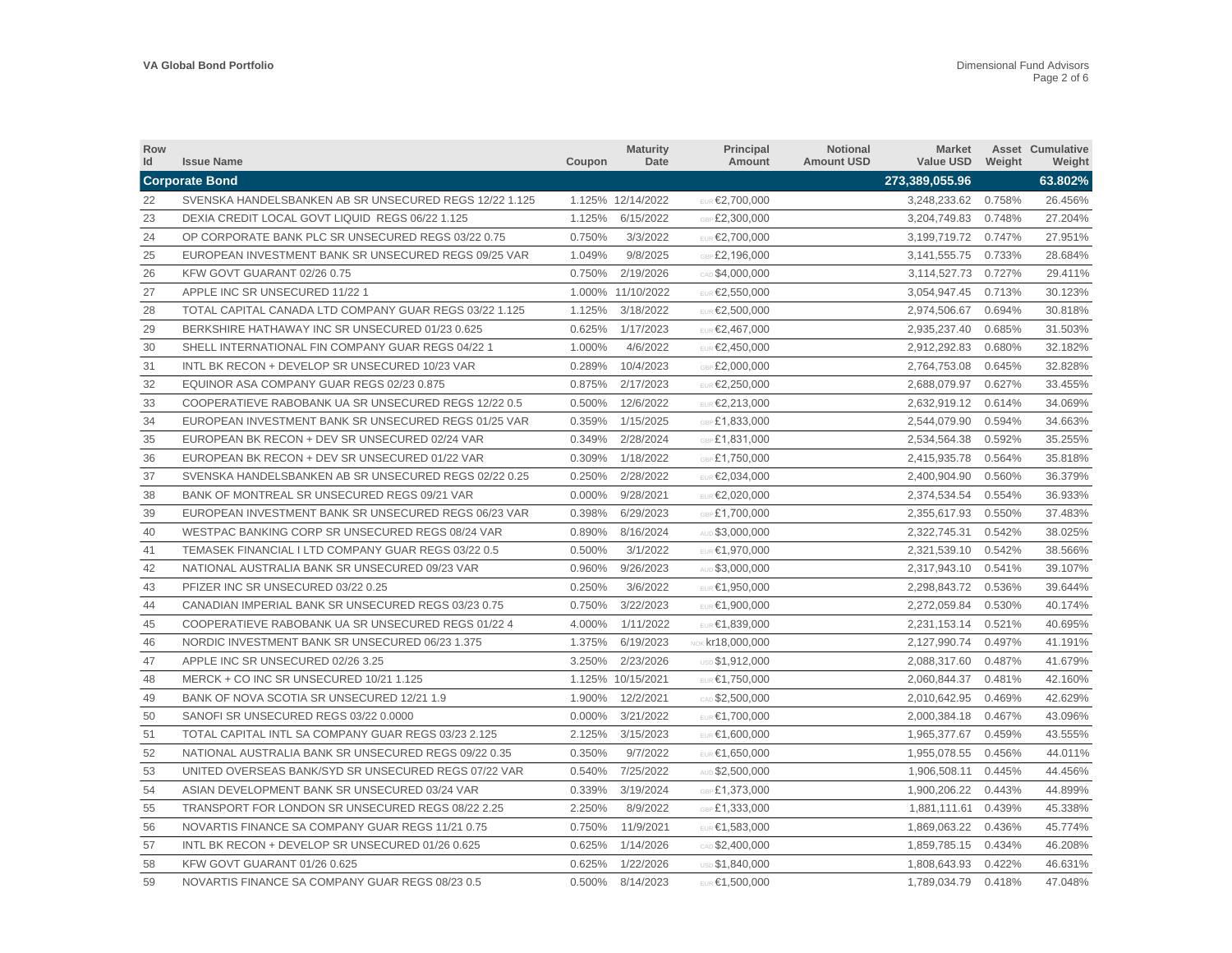| Row<br>Id | <b>Issue Name</b>                                      | Coupon | <b>Maturity</b><br>Date | <b>Principal</b><br>Amount | Notional<br><b>Amount USD</b> | Market<br>Value USD | Weight | <b>Asset Cumulative</b><br>Weight |
|-----------|--------------------------------------------------------|--------|-------------------------|----------------------------|-------------------------------|---------------------|--------|-----------------------------------|
|           | <b>Corporate Bond</b>                                  |        |                         |                            |                               | 273,389,055.96      |        | 63.802%                           |
| 22        | SVENSKA HANDELSBANKEN AB SR UNSECURED REGS 12/22 1.125 |        | 1.125% 12/14/2022       | EUR €2,700,000             |                               | 3,248,233.62 0.758% |        | 26.456%                           |
| 23        | DEXIA CREDIT LOCAL GOVT LIQUID REGS 06/22 1.125        | 1.125% | 6/15/2022               | GBP £2,300,000             |                               | 3,204,749.83        | 0.748% | 27.204%                           |
| 24        | OP CORPORATE BANK PLC SR UNSECURED REGS 03/22 0.75     | 0.750% | 3/3/2022                | EUR €2,700,000             |                               | 3,199,719.72        | 0.747% | 27.951%                           |
| 25        | EUROPEAN INVESTMENT BANK SR UNSECURED REGS 09/25 VAR   | 1.049% | 9/8/2025                | GBP £2,196,000             |                               | 3,141,555.75        | 0.733% | 28.684%                           |
| 26        | KFW GOVT GUARANT 02/26 0.75                            | 0.750% | 2/19/2026               | CAD \$4,000,000            |                               | 3,114,527.73 0.727% |        | 29.411%                           |
| 27        | APPLE INC SR UNSECURED 11/22 1                         |        | 1.000% 11/10/2022       | EUR €2,550,000             |                               | 3,054,947.45        | 0.713% | 30.123%                           |
| 28        | TOTAL CAPITAL CANADA LTD COMPANY GUAR REGS 03/22 1.125 | 1.125% | 3/18/2022               | EUR €2,500,000             |                               | 2,974,506.67        | 0.694% | 30.818%                           |
| 29        | BERKSHIRE HATHAWAY INC SR UNSECURED 01/23 0.625        | 0.625% | 1/17/2023               | EUR €2,467,000             |                               | 2,935,237.40        | 0.685% | 31.503%                           |
| 30        | SHELL INTERNATIONAL FIN COMPANY GUAR REGS 04/22 1      | 1.000% | 4/6/2022                | EUR €2,450,000             |                               | 2,912,292.83        | 0.680% | 32.182%                           |
| 31        | INTL BK RECON + DEVELOP SR UNSECURED 10/23 VAR         | 0.289% | 10/4/2023               | GBP £2,000,000             |                               | 2,764,753.08        | 0.645% | 32.828%                           |
| 32        | EQUINOR ASA COMPANY GUAR REGS 02/23 0.875              | 0.875% | 2/17/2023               | EUR €2,250,000             |                               | 2,688,079.97        | 0.627% | 33.455%                           |
| 33        | COOPERATIEVE RABOBANK UA SR UNSECURED REGS 12/22 0.5   | 0.500% | 12/6/2022               | <b>EUR €2,213,000</b>      |                               | 2,632,919.12        | 0.614% | 34.069%                           |
| 34        | EUROPEAN INVESTMENT BANK SR UNSECURED REGS 01/25 VAR   | 0.359% | 1/15/2025               | GBP £1,833,000             |                               | 2,544,079.90        | 0.594% | 34.663%                           |
| 35        | EUROPEAN BK RECON + DEV SR UNSECURED 02/24 VAR         | 0.349% | 2/28/2024               | GBP £1.831.000             |                               | 2,534,564.38        | 0.592% | 35.255%                           |
| 36        | EUROPEAN BK RECON + DEV SR UNSECURED 01/22 VAR         | 0.309% | 1/18/2022               | GBP £1,750,000             |                               | 2,415,935.78        | 0.564% | 35.818%                           |
| 37        | SVENSKA HANDELSBANKEN AB SR UNSECURED REGS 02/22 0.25  | 0.250% | 2/28/2022               | EUR €2,034,000             |                               | 2,400,904.90        | 0.560% | 36.379%                           |
| 38        | BANK OF MONTREAL SR UNSECURED REGS 09/21 VAR           | 0.000% | 9/28/2021               | EUR €2,020,000             |                               | 2,374,534.54        | 0.554% | 36.933%                           |
| 39        | EUROPEAN INVESTMENT BANK SR UNSECURED REGS 06/23 VAR   | 0.398% | 6/29/2023               | GBP £1,700,000             |                               | 2,355,617.93        | 0.550% | 37.483%                           |
| 40        | WESTPAC BANKING CORP SR UNSECURED REGS 08/24 VAR       | 0.890% | 8/16/2024               | AUD \$3,000,000            |                               | 2,322,745.31        | 0.542% | 38.025%                           |
| 41        | TEMASEK FINANCIAL I LTD COMPANY GUAR REGS 03/22 0.5    | 0.500% | 3/1/2022                | EUR €1,970,000             |                               | 2,321,539.10        | 0.542% | 38.566%                           |
| 42        | NATIONAL AUSTRALIA BANK SR UNSECURED 09/23 VAR         | 0.960% | 9/26/2023               | AUD \$3,000,000            |                               | 2,317,943.10        | 0.541% | 39.107%                           |
| 43        | PFIZER INC SR UNSECURED 03/22 0.25                     | 0.250% | 3/6/2022                | EUR €1,950,000             |                               | 2,298,843.72        | 0.536% | 39.644%                           |
| 44        | CANADIAN IMPERIAL BANK SR UNSECURED REGS 03/23 0.75    | 0.750% | 3/22/2023               | EUR €1,900,000             |                               | 2,272,059.84        | 0.530% | 40.174%                           |
| 45        | COOPERATIEVE RABOBANK UA SR UNSECURED REGS 01/22 4     | 4.000% | 1/11/2022               | EUR €1,839,000             |                               | 2,231,153.14        | 0.521% | 40.695%                           |
| 46        | NORDIC INVESTMENT BANK SR UNSECURED 06/23 1.375        | 1.375% | 6/19/2023               | NOK $kr18,000,000$         |                               | 2,127,990.74        | 0.497% | 41.191%                           |
| 47        | APPLE INC SR UNSECURED 02/26 3.25                      | 3.250% | 2/23/2026               | <b>USD \$1.912.000</b>     |                               | 2,088,317.60        | 0.487% | 41.679%                           |
| 48        | MERCK + CO INC SR UNSECURED 10/21 1.125                |        | 1.125% 10/15/2021       | EUR €1,750,000             |                               | 2,060,844.37        | 0.481% | 42.160%                           |
| 49        | BANK OF NOVA SCOTIA SR UNSECURED 12/21 1.9             | 1.900% | 12/2/2021               | CAD \$2,500,000            |                               | 2,010,642.95        | 0.469% | 42.629%                           |
| 50        | SANOFI SR UNSECURED REGS 03/22 0.0000                  | 0.000% | 3/21/2022               | EUR €1,700,000             |                               | 2,000,384.18        | 0.467% | 43.096%                           |
| 51        | TOTAL CAPITAL INTL SA COMPANY GUAR REGS 03/23 2.125    | 2.125% | 3/15/2023               | EUR €1,600,000             |                               | 1,965,377.67        | 0.459% | 43.555%                           |
| 52        | NATIONAL AUSTRALIA BANK SR UNSECURED REGS 09/22 0.35   | 0.350% | 9/7/2022                | EUR €1,650,000             |                               | 1,955,078.55        | 0.456% | 44.011%                           |
| 53        | UNITED OVERSEAS BANK/SYD SR UNSECURED REGS 07/22 VAR   | 0.540% | 7/25/2022               | AUD \$2,500,000            |                               | 1,906,508.11        | 0.445% | 44.456%                           |
| 54        | ASIAN DEVELOPMENT BANK SR UNSECURED 03/24 VAR          | 0.339% | 3/19/2024               | GBP £1,373,000             |                               | 1,900,206.22        | 0.443% | 44.899%                           |
| 55        | TRANSPORT FOR LONDON SR UNSECURED REGS 08/22 2.25      | 2.250% | 8/9/2022                | GBP £1,333,000             |                               | 1,881,111.61        | 0.439% | 45.338%                           |
| 56        | NOVARTIS FINANCE SA COMPANY GUAR REGS 11/21 0.75       | 0.750% | 11/9/2021               | EUR €1,583,000             |                               | 1,869,063.22        | 0.436% | 45.774%                           |
| 57        | INTL BK RECON + DEVELOP SR UNSECURED 01/26 0.625       | 0.625% | 1/14/2026               | CAD \$2,400,000            |                               | 1,859,785.15        | 0.434% | 46.208%                           |
| 58        | KFW GOVT GUARANT 01/26 0.625                           | 0.625% | 1/22/2026               | USD \$1.840.000            |                               | 1.808.643.93        | 0.422% | 46.631%                           |
| 59        | NOVARTIS FINANCE SA COMPANY GUAR REGS 08/23 0.5        | 0.500% | 8/14/2023               | EUR €1,500,000             |                               | 1,789,034.79        | 0.418% | 47.048%                           |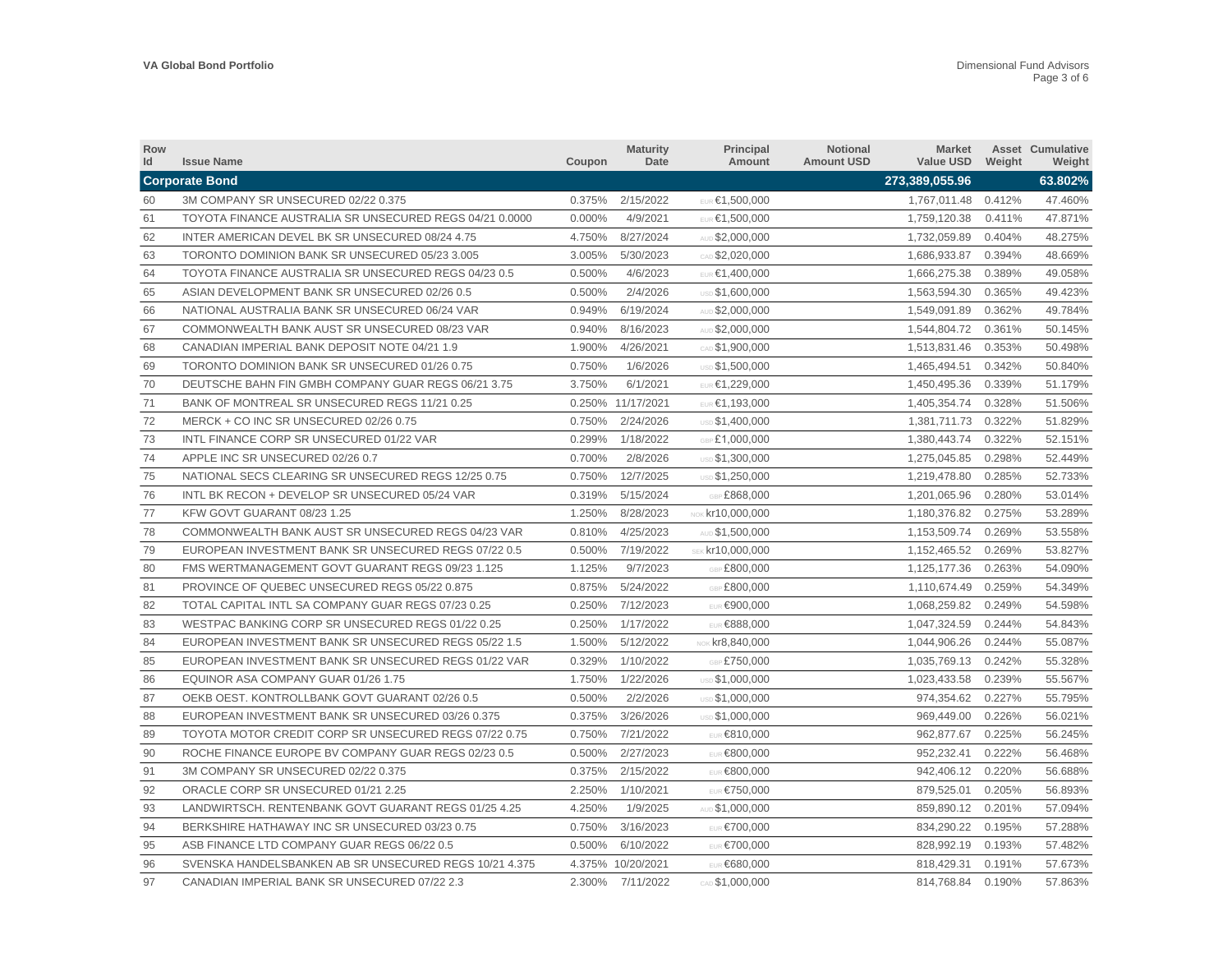| Row<br>Id | <b>Issue Name</b>                                       | Coupon | <b>Maturity</b><br>Date | Principal<br>Amount    | <b>Notional</b><br><b>Amount USD</b> | Market<br>Value USD | Weight | <b>Asset Cumulative</b><br>Weight |
|-----------|---------------------------------------------------------|--------|-------------------------|------------------------|--------------------------------------|---------------------|--------|-----------------------------------|
|           | <b>Corporate Bond</b>                                   |        |                         |                        |                                      | 273,389,055.96      |        | 63.802%                           |
| 60        | 3M COMPANY SR UNSECURED 02/22 0.375                     | 0.375% | 2/15/2022               | EUR €1,500,000         |                                      | 1,767,011.48 0.412% |        | 47.460%                           |
| 61        | TOYOTA FINANCE AUSTRALIA SR UNSECURED REGS 04/21 0.0000 | 0.000% | 4/9/2021                | EUR €1,500,000         |                                      | 1,759,120.38        | 0.411% | 47.871%                           |
| 62        | INTER AMERICAN DEVEL BK SR UNSECURED 08/24 4.75         | 4.750% | 8/27/2024               | AUD \$2,000,000        |                                      | 1,732,059.89        | 0.404% | 48.275%                           |
| 63        | TORONTO DOMINION BANK SR UNSECURED 05/23 3.005          | 3.005% | 5/30/2023               | CAD \$2,020,000        |                                      | 1,686,933.87        | 0.394% | 48.669%                           |
| 64        | TOYOTA FINANCE AUSTRALIA SR UNSECURED REGS 04/23 0.5    | 0.500% | 4/6/2023                | EUR €1,400,000         |                                      | 1,666,275.38        | 0.389% | 49.058%                           |
| 65        | ASIAN DEVELOPMENT BANK SR UNSECURED 02/26 0.5           | 0.500% | 2/4/2026                | USD \$1,600,000        |                                      | 1,563,594.30        | 0.365% | 49.423%                           |
| 66        | NATIONAL AUSTRALIA BANK SR UNSECURED 06/24 VAR          | 0.949% | 6/19/2024               | AUD \$2,000,000        |                                      | 1,549,091.89        | 0.362% | 49.784%                           |
| 67        | COMMONWEALTH BANK AUST SR UNSECURED 08/23 VAR           | 0.940% | 8/16/2023               | AUD \$2,000,000        |                                      | 1,544,804.72        | 0.361% | 50.145%                           |
| 68        | CANADIAN IMPERIAL BANK DEPOSIT NOTE 04/21 1.9           | 1.900% | 4/26/2021               | CAD \$1,900,000        |                                      | 1,513,831.46        | 0.353% | 50.498%                           |
| 69        | TORONTO DOMINION BANK SR UNSECURED 01/26 0.75           | 0.750% | 1/6/2026                | USD \$1,500,000        |                                      | 1,465,494.51        | 0.342% | 50.840%                           |
| 70        | DEUTSCHE BAHN FIN GMBH COMPANY GUAR REGS 06/21 3.75     | 3.750% | 6/1/2021                | EUR €1,229,000         |                                      | 1,450,495.36        | 0.339% | 51.179%                           |
| 71        | BANK OF MONTREAL SR UNSECURED REGS 11/21 0.25           |        | 0.250% 11/17/2021       | <b>EUR €1,193,000</b>  |                                      | 1,405,354.74        | 0.328% | 51.506%                           |
| 72        | MERCK + CO INC SR UNSECURED 02/26 0.75                  | 0.750% | 2/24/2026               | <b>USD \$1,400,000</b> |                                      | 1,381,711.73        | 0.322% | 51.829%                           |
| 73        | INTL FINANCE CORP SR UNSECURED 01/22 VAR                | 0.299% | 1/18/2022               | GBP £1,000,000         |                                      | 1,380,443.74        | 0.322% | 52.151%                           |
| 74        | APPLE INC SR UNSECURED 02/26 0.7                        | 0.700% | 2/8/2026                | <b>USD \$1,300,000</b> |                                      | 1,275,045.85        | 0.298% | 52.449%                           |
| 75        | NATIONAL SECS CLEARING SR UNSECURED REGS 12/25 0.75     | 0.750% | 12/7/2025               | USD \$1.250.000        |                                      | 1,219,478.80        | 0.285% | 52.733%                           |
| 76        | INTL BK RECON + DEVELOP SR UNSECURED 05/24 VAR          | 0.319% | 5/15/2024               | GBP £868,000           |                                      | 1,201,065.96        | 0.280% | 53.014%                           |
| 77        | KFW GOVT GUARANT 08/23 1.25                             | 1.250% | 8/28/2023               | NOK $kr10,000,000$     |                                      | 1,180,376.82        | 0.275% | 53.289%                           |
| 78        | COMMONWEALTH BANK AUST SR UNSECURED REGS 04/23 VAR      | 0.810% | 4/25/2023               | AUD \$1,500,000        |                                      | 1,153,509.74        | 0.269% | 53.558%                           |
| 79        | EUROPEAN INVESTMENT BANK SR UNSECURED REGS 07/22 0.5    | 0.500% | 7/19/2022               | SEK $kr10,000,000$     |                                      | 1,152,465.52        | 0.269% | 53.827%                           |
| 80        | FMS WERTMANAGEMENT GOVT GUARANT REGS 09/23 1.125        | 1.125% | 9/7/2023                | GBP £800,000           |                                      | 1,125,177.36        | 0.263% | 54.090%                           |
| 81        | PROVINCE OF QUEBEC UNSECURED REGS 05/22 0.875           | 0.875% | 5/24/2022               | GBP £800,000           |                                      | 1,110,674.49        | 0.259% | 54.349%                           |
| 82        | TOTAL CAPITAL INTL SA COMPANY GUAR REGS 07/23 0.25      | 0.250% | 7/12/2023               | EUR €900,000           |                                      | 1,068,259.82        | 0.249% | 54.598%                           |
| 83        | WESTPAC BANKING CORP SR UNSECURED REGS 01/22 0.25       | 0.250% | 1/17/2022               | EUR €888,000           |                                      | 1,047,324.59        | 0.244% | 54.843%                           |
| 84        | EUROPEAN INVESTMENT BANK SR UNSECURED REGS 05/22 1.5    | 1.500% | 5/12/2022               | NOK $kr8,840,000$      |                                      | 1,044,906.26        | 0.244% | 55.087%                           |
| 85        | EUROPEAN INVESTMENT BANK SR UNSECURED REGS 01/22 VAR    | 0.329% | 1/10/2022               | GBP £750.000           |                                      | 1,035,769.13        | 0.242% | 55.328%                           |
| 86        | EQUINOR ASA COMPANY GUAR 01/26 1.75                     | 1.750% | 1/22/2026               | <b>USD \$1.000.000</b> |                                      | 1,023,433.58        | 0.239% | 55.567%                           |
| 87        | OEKB OEST. KONTROLLBANK GOVT GUARANT 02/26 0.5          | 0.500% | 2/2/2026                | USD \$1,000,000        |                                      | 974,354.62          | 0.227% | 55.795%                           |
| 88        | EUROPEAN INVESTMENT BANK SR UNSECURED 03/26 0.375       | 0.375% | 3/26/2026               | USD \$1,000,000        |                                      | 969,449.00          | 0.226% | 56.021%                           |
| 89        | TOYOTA MOTOR CREDIT CORP SR UNSECURED REGS 07/22 0.75   | 0.750% | 7/21/2022               | <b>EUR €810,000</b>    |                                      | 962,877.67          | 0.225% | 56.245%                           |
| 90        | ROCHE FINANCE EUROPE BV COMPANY GUAR REGS 02/23 0.5     | 0.500% | 2/27/2023               | EUR €800,000           |                                      | 952,232.41          | 0.222% | 56.468%                           |
| 91        | 3M COMPANY SR UNSECURED 02/22 0.375                     | 0.375% | 2/15/2022               | EUR €800,000           |                                      | 942,406.12          | 0.220% | 56.688%                           |
| 92        | ORACLE CORP SR UNSECURED 01/21 2.25                     | 2.250% | 1/10/2021               | <b>EUR €750,000</b>    |                                      | 879,525.01          | 0.205% | 56.893%                           |
| 93        | LANDWIRTSCH. RENTENBANK GOVT GUARANT REGS 01/25 4.25    | 4.250% | 1/9/2025                | AUD \$1,000,000        |                                      | 859,890.12          | 0.201% | 57.094%                           |
| 94        | BERKSHIRE HATHAWAY INC SR UNSECURED 03/23 0.75          | 0.750% | 3/16/2023               | <b>EUR €700,000</b>    |                                      | 834,290.22          | 0.195% | 57.288%                           |
| 95        | ASB FINANCE LTD COMPANY GUAR REGS 06/22 0.5             | 0.500% | 6/10/2022               | <b>EUR €700,000</b>    |                                      | 828.992.19          | 0.193% | 57.482%                           |
| 96        | SVENSKA HANDELSBANKEN AB SR UNSECURED REGS 10/21 4.375  |        | 4.375% 10/20/2021       | <b>EUR €680.000</b>    |                                      | 818,429.31          | 0.191% | 57.673%                           |
| 97        | CANADIAN IMPERIAL BANK SR UNSECURED 07/22 2.3           |        | 2.300% 7/11/2022        | CAD \$1,000,000        |                                      | 814,768.84          | 0.190% | 57.863%                           |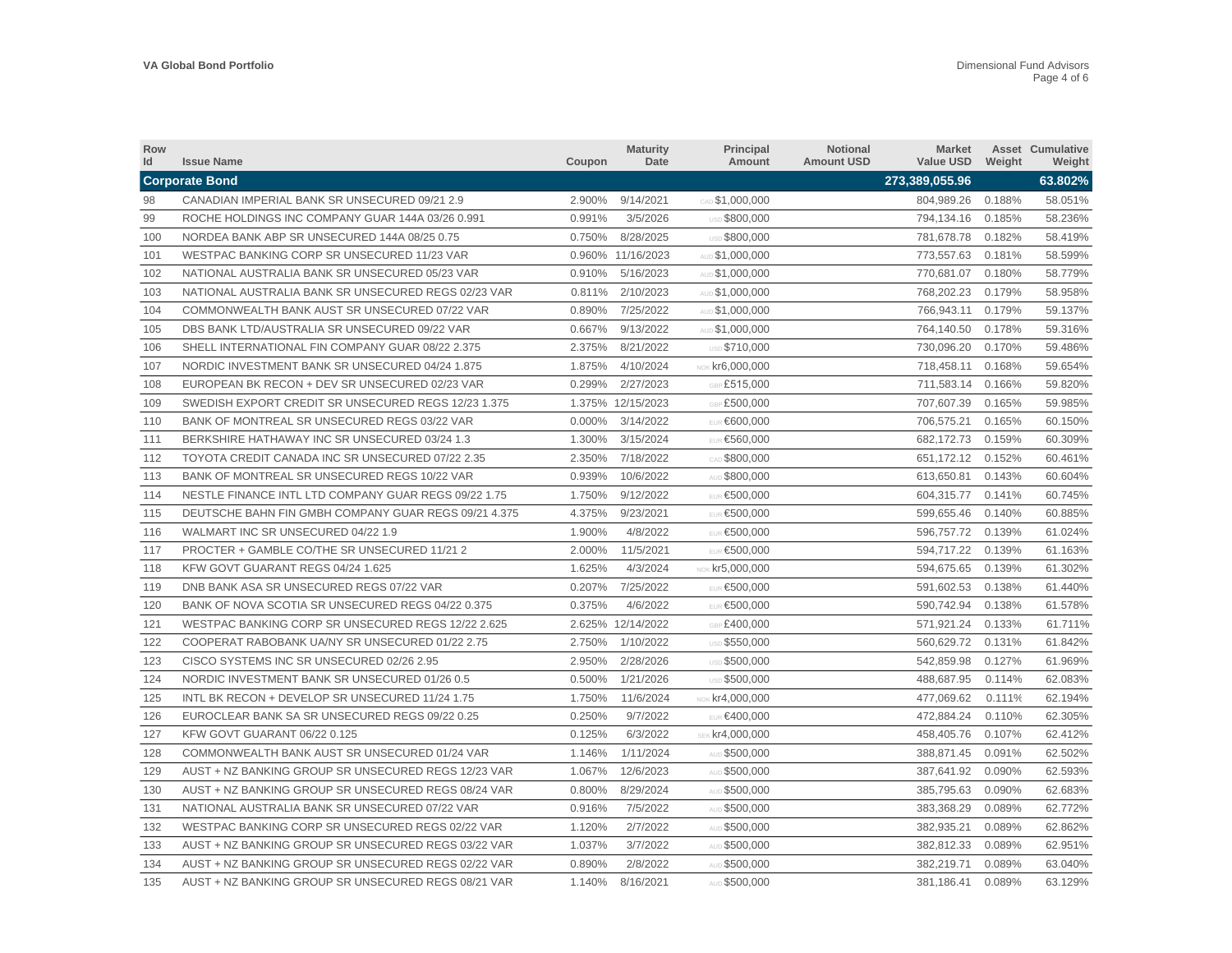| <b>Row</b><br>Id | <b>Issue Name</b>                                    | Coupon | <b>Maturity</b><br>Date | <b>Principal</b><br>Amount | Notional<br><b>Amount USD</b> | Market<br>Value USD | Weight | <b>Asset Cumulative</b><br>Weight |
|------------------|------------------------------------------------------|--------|-------------------------|----------------------------|-------------------------------|---------------------|--------|-----------------------------------|
|                  | <b>Corporate Bond</b>                                |        |                         |                            |                               | 273,389,055.96      |        | 63.802%                           |
| 98               | CANADIAN IMPERIAL BANK SR UNSECURED 09/21 2.9        | 2.900% | 9/14/2021               | CAD \$1,000,000            |                               | 804,989.26 0.188%   |        | 58.051%                           |
| 99               | ROCHE HOLDINGS INC COMPANY GUAR 144A 03/26 0.991     | 0.991% | 3/5/2026                | <b>USD \$800.000</b>       |                               | 794.134.16          | 0.185% | 58.236%                           |
| 100              | NORDEA BANK ABP SR UNSECURED 144A 08/25 0.75         | 0.750% | 8/28/2025               | USD \$800,000              |                               | 781,678.78          | 0.182% | 58.419%                           |
| 101              | WESTPAC BANKING CORP SR UNSECURED 11/23 VAR          |        | 0.960% 11/16/2023       | AUD \$1,000,000            |                               | 773,557.63          | 0.181% | 58.599%                           |
| 102              | NATIONAL AUSTRALIA BANK SR UNSECURED 05/23 VAR       | 0.910% | 5/16/2023               | AUD \$1,000,000            |                               | 770,681.07          | 0.180% | 58.779%                           |
| 103              | NATIONAL AUSTRALIA BANK SR UNSECURED REGS 02/23 VAR  | 0.811% | 2/10/2023               | AUD \$1,000,000            |                               | 768,202.23          | 0.179% | 58.958%                           |
| 104              | COMMONWEALTH BANK AUST SR UNSECURED 07/22 VAR        | 0.890% | 7/25/2022               | AUD \$1,000,000            |                               | 766,943.11          | 0.179% | 59.137%                           |
| 105              | DBS BANK LTD/AUSTRALIA SR UNSECURED 09/22 VAR        | 0.667% | 9/13/2022               | AUD \$1,000,000            |                               | 764,140.50          | 0.178% | 59.316%                           |
| 106              | SHELL INTERNATIONAL FIN COMPANY GUAR 08/22 2.375     | 2.375% | 8/21/2022               | <b>USD \$710.000</b>       |                               | 730.096.20          | 0.170% | 59.486%                           |
| 107              | NORDIC INVESTMENT BANK SR UNSECURED 04/24 1.875      | 1.875% | 4/10/2024               | NOK $kr6,000,000$          |                               | 718,458.11          | 0.168% | 59.654%                           |
| 108              | EUROPEAN BK RECON + DEV SR UNSECURED 02/23 VAR       | 0.299% | 2/27/2023               | GBP £515,000               |                               | 711,583.14          | 0.166% | 59.820%                           |
| 109              | SWEDISH EXPORT CREDIT SR UNSECURED REGS 12/23 1.375  |        | 1.375% 12/15/2023       | GBP £500,000               |                               | 707,607.39          | 0.165% | 59.985%                           |
| 110              | BANK OF MONTREAL SR UNSECURED REGS 03/22 VAR         | 0.000% | 3/14/2022               | EUR €600,000               |                               | 706,575.21          | 0.165% | 60.150%                           |
| 111              | BERKSHIRE HATHAWAY INC SR UNSECURED 03/24 1.3        | 1.300% | 3/15/2024               | EUR €560,000               |                               | 682,172.73          | 0.159% | 60.309%                           |
| 112              | TOYOTA CREDIT CANADA INC SR UNSECURED 07/22 2.35     | 2.350% | 7/18/2022               | CAD \$800,000              |                               | 651, 172. 12        | 0.152% | 60.461%                           |
| 113              | BANK OF MONTREAL SR UNSECURED REGS 10/22 VAR         | 0.939% | 10/6/2022               | AUD \$800.000              |                               | 613,650.81          | 0.143% | 60.604%                           |
| 114              | NESTLE FINANCE INTL LTD COMPANY GUAR REGS 09/22 1.75 | 1.750% | 9/12/2022               | EUR €500,000               |                               | 604,315.77          | 0.141% | 60.745%                           |
| 115              | DEUTSCHE BAHN FIN GMBH COMPANY GUAR REGS 09/21 4.375 | 4.375% | 9/23/2021               | EUR €500,000               |                               | 599,655.46          | 0.140% | 60.885%                           |
| 116              | WALMART INC SR UNSECURED 04/22 1.9                   | 1.900% | 4/8/2022                | EUR €500,000               |                               | 596,757.72 0.139%   |        | 61.024%                           |
| 117              | PROCTER + GAMBLE CO/THE SR UNSECURED 11/21 2         | 2.000% | 11/5/2021               | EUR €500,000               |                               | 594,717.22          | 0.139% | 61.163%                           |
| 118              | KFW GOVT GUARANT REGS 04/24 1.625                    | 1.625% | 4/3/2024                | NOK $kr5,000,000$          |                               | 594,675.65          | 0.139% | 61.302%                           |
| 119              | DNB BANK ASA SR UNSECURED REGS 07/22 VAR             | 0.207% | 7/25/2022               | EUR €500,000               |                               | 591,602.53          | 0.138% | 61.440%                           |
| 120              | BANK OF NOVA SCOTIA SR UNSECURED REGS 04/22 0.375    | 0.375% | 4/6/2022                | EUR €500.000               |                               | 590.742.94          | 0.138% | 61.578%                           |
| 121              | WESTPAC BANKING CORP SR UNSECURED REGS 12/22 2.625   |        | 2.625% 12/14/2022       | GBP £400,000               |                               | 571,921.24          | 0.133% | 61.711%                           |
| 122              | COOPERAT RABOBANK UA/NY SR UNSECURED 01/22 2.75      | 2.750% | 1/10/2022               | USD \$550,000              |                               | 560,629.72          | 0.131% | 61.842%                           |
| 123              | CISCO SYSTEMS INC SR UNSECURED 02/26 2.95            | 2.950% | 2/28/2026               | USD \$500,000              |                               | 542,859.98          | 0.127% | 61.969%                           |
| 124              | NORDIC INVESTMENT BANK SR UNSECURED 01/26 0.5        | 0.500% | 1/21/2026               | USD \$500,000              |                               | 488,687.95          | 0.114% | 62.083%                           |
| 125              | INTL BK RECON + DEVELOP SR UNSECURED 11/24 1.75      | 1.750% | 11/6/2024               | NOK $kr4,000,000$          |                               | 477,069.62          | 0.111% | 62.194%                           |
| 126              | EUROCLEAR BANK SA SR UNSECURED REGS 09/22 0.25       | 0.250% | 9/7/2022                | EUR €400,000               |                               | 472,884.24          | 0.110% | 62.305%                           |
| 127              | KFW GOVT GUARANT 06/22 0.125                         | 0.125% | 6/3/2022                | SEK kr4,000,000            |                               | 458,405.76          | 0.107% | 62.412%                           |
| 128              | COMMONWEALTH BANK AUST SR UNSECURED 01/24 VAR        | 1.146% | 1/11/2024               | AUD \$500,000              |                               | 388,871.45          | 0.091% | 62.502%                           |
| 129              | AUST + NZ BANKING GROUP SR UNSECURED REGS 12/23 VAR  | 1.067% | 12/6/2023               | AUD \$500,000              |                               | 387,641.92          | 0.090% | 62.593%                           |
| 130              | AUST + NZ BANKING GROUP SR UNSECURED REGS 08/24 VAR  | 0.800% | 8/29/2024               | AUD \$500,000              |                               | 385,795.63          | 0.090% | 62.683%                           |
| 131              | NATIONAL AUSTRALIA BANK SR UNSECURED 07/22 VAR       | 0.916% | 7/5/2022                | AUD \$500,000              |                               | 383,368.29          | 0.089% | 62.772%                           |
| 132              | WESTPAC BANKING CORP SR UNSECURED REGS 02/22 VAR     | 1.120% | 2/7/2022                | AUD \$500,000              |                               | 382,935.21          | 0.089% | 62.862%                           |
| 133              | AUST + NZ BANKING GROUP SR UNSECURED REGS 03/22 VAR  | 1.037% | 3/7/2022                | AUD \$500,000              |                               | 382,812.33          | 0.089% | 62.951%                           |
| 134              | AUST + NZ BANKING GROUP SR UNSECURED REGS 02/22 VAR  | 0.890% | 2/8/2022                | AUD \$500,000              |                               | 382,219.71          | 0.089% | 63.040%                           |
| 135              | AUST + NZ BANKING GROUP SR UNSECURED REGS 08/21 VAR  | 1.140% | 8/16/2021               | AUD \$500,000              |                               | 381,186.41          | 0.089% | 63.129%                           |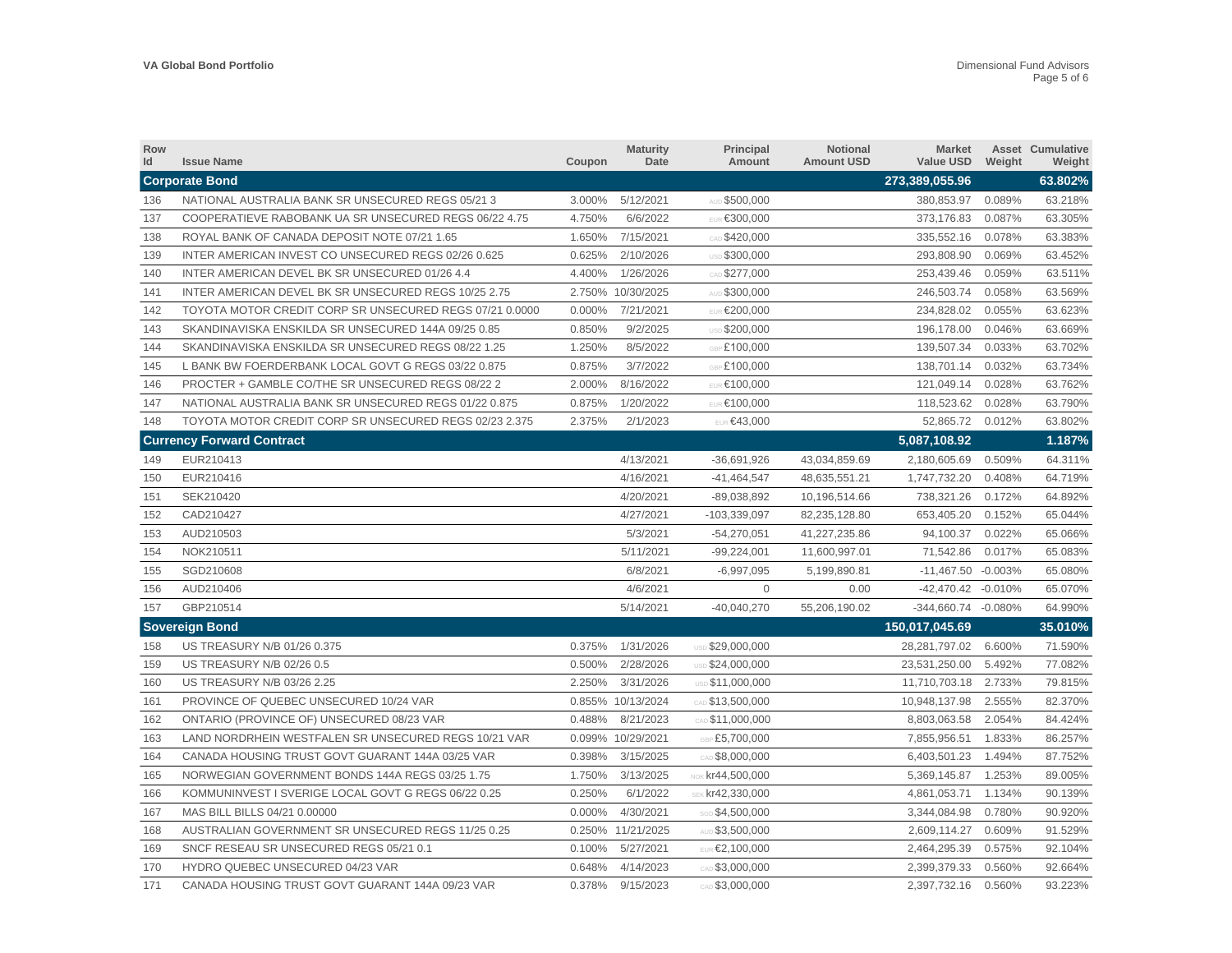| Row<br>Id | <b>Issue Name</b>                                       | Coupon | <b>Maturity</b><br>Date | Principal<br>Amount     | Notional<br><b>Amount USD</b> | <b>Market</b><br>Value USD | Weight    | <b>Asset Cumulative</b><br>Weight |
|-----------|---------------------------------------------------------|--------|-------------------------|-------------------------|-------------------------------|----------------------------|-----------|-----------------------------------|
|           | <b>Corporate Bond</b>                                   |        |                         |                         |                               | 273,389,055.96             |           | 63.802%                           |
| 136       | NATIONAL AUSTRALIA BANK SR UNSECURED REGS 05/21 3       | 3.000% | 5/12/2021               | AUD \$500,000           |                               | 380,853.97 0.089%          |           | 63.218%                           |
| 137       | COOPERATIEVE RABOBANK UA SR UNSECURED REGS 06/22 4.75   | 4.750% | 6/6/2022                | EUR €300.000            |                               | 373.176.83                 | 0.087%    | 63.305%                           |
| 138       | ROYAL BANK OF CANADA DEPOSIT NOTE 07/21 1.65            | 1.650% | 7/15/2021               | CAD \$420,000           |                               | 335,552.16                 | 0.078%    | 63.383%                           |
| 139       | INTER AMERICAN INVEST CO UNSECURED REGS 02/26 0.625     | 0.625% | 2/10/2026               | USD \$300,000           |                               | 293,808.90                 | 0.069%    | 63.452%                           |
| 140       | INTER AMERICAN DEVEL BK SR UNSECURED 01/26 4.4          | 4.400% | 1/26/2026               | CAD \$277,000           |                               | 253,439.46                 | 0.059%    | 63.511%                           |
| 141       | INTER AMERICAN DEVEL BK SR UNSECURED REGS 10/25 2.75    |        | 2.750% 10/30/2025       | AUD \$300,000           |                               | 246,503.74                 | 0.058%    | 63.569%                           |
| 142       | TOYOTA MOTOR CREDIT CORP SR UNSECURED REGS 07/21 0.0000 | 0.000% | 7/21/2021               | <b>EUR €200,000</b>     |                               | 234,828.02                 | 0.055%    | 63.623%                           |
| 143       | SKANDINAVISKA ENSKILDA SR UNSECURED 144A 09/25 0.85     | 0.850% | 9/2/2025                | USD \$200,000           |                               | 196,178.00                 | 0.046%    | 63.669%                           |
| 144       | SKANDINAVISKA ENSKILDA SR UNSECURED REGS 08/22 1.25     | 1.250% | 8/5/2022                | GBP £100,000            |                               | 139,507.34                 | 0.033%    | 63.702%                           |
| 145       | L BANK BW FOERDERBANK LOCAL GOVT G REGS 03/22 0.875     | 0.875% | 3/7/2022                | GBP £100,000            |                               | 138,701.14                 | 0.032%    | 63.734%                           |
| 146       | PROCTER + GAMBLE CO/THE SR UNSECURED REGS 08/22 2       | 2.000% | 8/16/2022               | EUR €100,000            |                               | 121,049.14                 | 0.028%    | 63.762%                           |
| 147       | NATIONAL AUSTRALIA BANK SR UNSECURED REGS 01/22 0.875   | 0.875% | 1/20/2022               | EUR €100,000            |                               | 118,523.62                 | 0.028%    | 63.790%                           |
| 148       | TOYOTA MOTOR CREDIT CORP SR UNSECURED REGS 02/23 2.375  | 2.375% | 2/1/2023                | EUR €43,000             |                               | 52,865.72                  | 0.012%    | 63.802%                           |
|           | <b>Currency Forward Contract</b>                        |        |                         |                         |                               | 5,087,108.92               |           | 1.187%                            |
| 149       | EUR210413                                               |        | 4/13/2021               | $-36,691,926$           | 43,034,859.69                 | 2,180,605.69               | 0.509%    | 64.311%                           |
| 150       | EUR210416                                               |        | 4/16/2021               | $-41,464,547$           | 48,635,551.21                 | 1,747,732.20               | 0.408%    | 64.719%                           |
| 151       | SEK210420                                               |        | 4/20/2021               | $-89,038,892$           | 10,196,514.66                 | 738,321.26                 | 0.172%    | 64.892%                           |
| 152       | CAD210427                                               |        | 4/27/2021               | $-103,339,097$          | 82,235,128.80                 | 653,405.20                 | 0.152%    | 65.044%                           |
| 153       | AUD210503                                               |        | 5/3/2021                | $-54,270,051$           | 41,227,235.86                 | 94,100.37                  | 0.022%    | 65.066%                           |
| 154       | NOK210511                                               |        | 5/11/2021               | $-99,224,001$           | 11,600,997.01                 | 71,542.86                  | 0.017%    | 65.083%                           |
| 155       | SGD210608                                               |        | 6/8/2021                | $-6,997,095$            | 5,199,890.81                  | $-11,467.50$               | $-0.003%$ | 65.080%                           |
| 156       | AUD210406                                               |        | 4/6/2021                | $\Omega$                | 0.00                          | -42,470.42 -0.010%         |           | 65.070%                           |
| 157       | GBP210514                                               |        | 5/14/2021               | $-40,040,270$           | 55,206,190.02                 | -344.660.74 -0.080%        |           | 64.990%                           |
|           | <b>Sovereign Bond</b>                                   |        |                         |                         |                               | 150,017,045.69             |           | 35.010%                           |
| 158       | US TREASURY N/B 01/26 0.375                             | 0.375% | 1/31/2026               | USD \$29,000,000        |                               | 28,281,797.02              | 6.600%    | 71.590%                           |
| 159       | US TREASURY N/B 02/26 0.5                               | 0.500% | 2/28/2026               | <b>USD \$24,000,000</b> |                               | 23,531,250.00              | 5.492%    | 77.082%                           |
| 160       | US TREASURY N/B 03/26 2.25                              | 2.250% | 3/31/2026               | USD \$11,000,000        |                               | 11,710,703.18              | 2.733%    | 79.815%                           |
| 161       | PROVINCE OF QUEBEC UNSECURED 10/24 VAR                  |        | 0.855% 10/13/2024       | CAD \$13,500,000        |                               | 10,948,137.98              | 2.555%    | 82.370%                           |
| 162       | ONTARIO (PROVINCE OF) UNSECURED 08/23 VAR               | 0.488% | 8/21/2023               | CAD \$11,000,000        |                               | 8,803,063.58               | 2.054%    | 84.424%                           |
| 163       | LAND NORDRHEIN WESTFALEN SR UNSECURED REGS 10/21 VAR    |        | 0.099% 10/29/2021       | GBP £5,700,000          |                               | 7,855,956.51               | 1.833%    | 86.257%                           |
| 164       | CANADA HOUSING TRUST GOVT GUARANT 144A 03/25 VAR        | 0.398% | 3/15/2025               | CAD \$8,000,000         |                               | 6,403,501.23               | 1.494%    | 87.752%                           |
| 165       | NORWEGIAN GOVERNMENT BONDS 144A REGS 03/25 1.75         | 1.750% | 3/13/2025               | NOK $kr44,500,000$      |                               | 5,369,145.87               | 1.253%    | 89.005%                           |
| 166       | KOMMUNINVEST I SVERIGE LOCAL GOVT G REGS 06/22 0.25     | 0.250% | 6/1/2022                | SEK kr42,330,000        |                               | 4,861,053.71               | 1.134%    | 90.139%                           |
| 167       | MAS BILL BILLS 04/21 0.00000                            | 0.000% | 4/30/2021               | SGD \$4,500,000         |                               | 3,344,084.98               | 0.780%    | 90.920%                           |
| 168       | AUSTRALIAN GOVERNMENT SR UNSECURED REGS 11/25 0.25      |        | 0.250% 11/21/2025       | AUD \$3,500,000         |                               | 2,609,114.27               | 0.609%    | 91.529%                           |
| 169       | SNCF RESEAU SR UNSECURED REGS 05/21 0.1                 | 0.100% | 5/27/2021               | EUR €2,100,000          |                               | 2,464,295.39               | 0.575%    | 92.104%                           |
| 170       | HYDRO QUEBEC UNSECURED 04/23 VAR                        | 0.648% | 4/14/2023               | CAD \$3,000,000         |                               | 2.399.379.33               | 0.560%    | 92.664%                           |
| 171       | CANADA HOUSING TRUST GOVT GUARANT 144A 09/23 VAR        | 0.378% | 9/15/2023               | CAD \$3,000,000         |                               | 2,397,732.16               | 0.560%    | 93.223%                           |